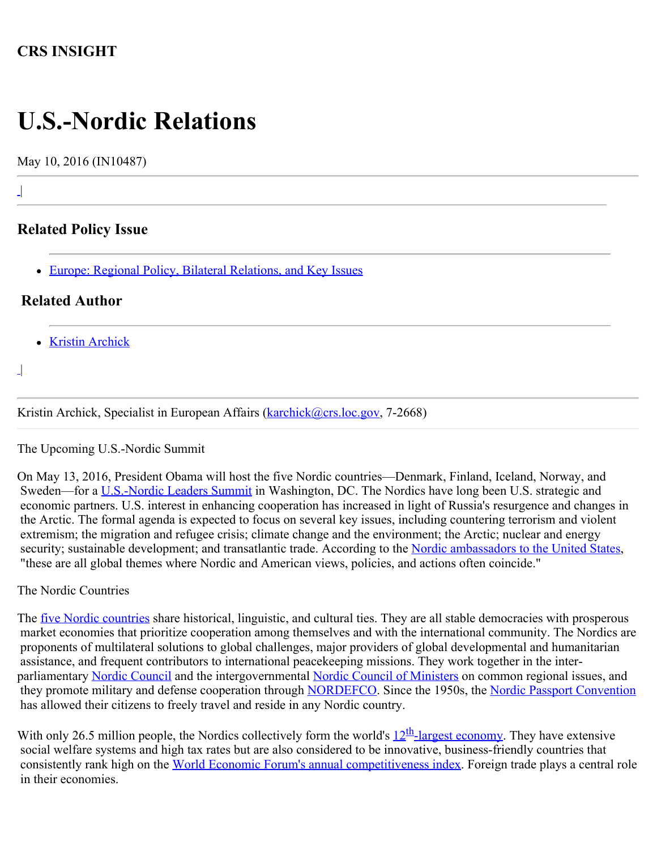# **CRS INSIGHT**

# **U.S.-Nordic Relations**

May 10, 2016 (IN10487)

# **Related Policy Issue**

• [Europe: Regional Policy, Bilateral Relations, and Key Issues](http://www.crs.gov/Cli/SubIssue?CliId=4636&ParentId=29)

## **Related Author**

- [Kristin Archick](http://www.crs.gov/Author/index?id=72519)
- |  $\overline{\phantom{a}}$

|

 $\perp$ 

Kristin Archick, Specialist in European Affairs ([karchick@crs.loc.gov,](mailto:karchick@crs.loc.gov) 7-2668)

The Upcoming U.S.-Nordic Summit

On May 13, 2016, President Obama will host the five Nordic countries—Denmark, Finland, Iceland, Norway, and Sweden—for a [U.S.-Nordic](https://www.whitehouse.gov/the-press-office/2016/03/18/statement-press-secretary-us-nordic-leaders-summit) [Leaders Summit](https://www.whitehouse.gov/the-press-office/2016/03/18/statement-press-secretary-us-nordic-leaders-summit) in Washington, DC. The Nordics have long been U.S. strategic and economic partners. U.S. interest in enhancing cooperation has increased in light of Russia's resurgence and changes in the Arctic. The formal agenda is expected to focus on several key issues, including countering terrorism and violent extremism; the migration and refugee crisis; climate change and the environment; the Arctic; nuclear and energy security; sustainable development; and transatlantic trade. According to the [Nordic ambassadors to the United States](http://www.huffingtonpost.com/kirsti-kauppi/why-us-nordic-relations-matter-more-than-ever_b_9807606.html), "these are all global themes where Nordic and American views, policies, and actions often coincide."

#### The Nordic Countries

The <u>five Nordic countries</u> share historical, linguistic, and cultural ties. They are all stable democracies with prosperous market economies that prioritize cooperation among themselves and with the international community. The Nordics are proponents of multilateral solutions to global challenges, major providers of global developmental and humanitarian assistance, and frequent contributors to international peacekeeping missions. They work together in the inter-parliamentary [Nordic Council](http://www.norden.org/en/nordic-council) and the intergovernmental [Nordic Council of Ministers](http://www.norden.org/en/nordic-council-of-ministers) on common regional issues, and they promote military and defense cooperation through [NORDEFCO](http://www.nordefco.org/). Since the 1950s, the [Nordic Passport Convention](http://www.norden.org/en/om-samarbejdet-1/nordic-agreements/treaties-and-agreements/passport-issues-citizenship-and-national-registration) has allowed their citizens to freely travel and reside in any Nordic country.

With only 26.5 million people, the Nordics collectively form the world's  $12<sup>th</sup>$ -largest economy. They have extensive social welfare systems and high tax rates but are also considered to be innovative, business-friendly countries that consistently rank high on the [World Economic Forum's annual competitiveness index.](http://reports.weforum.org/global-competitiveness-report-2015-2016/competitiveness-rankings/) Foreign trade plays a central role in their economies.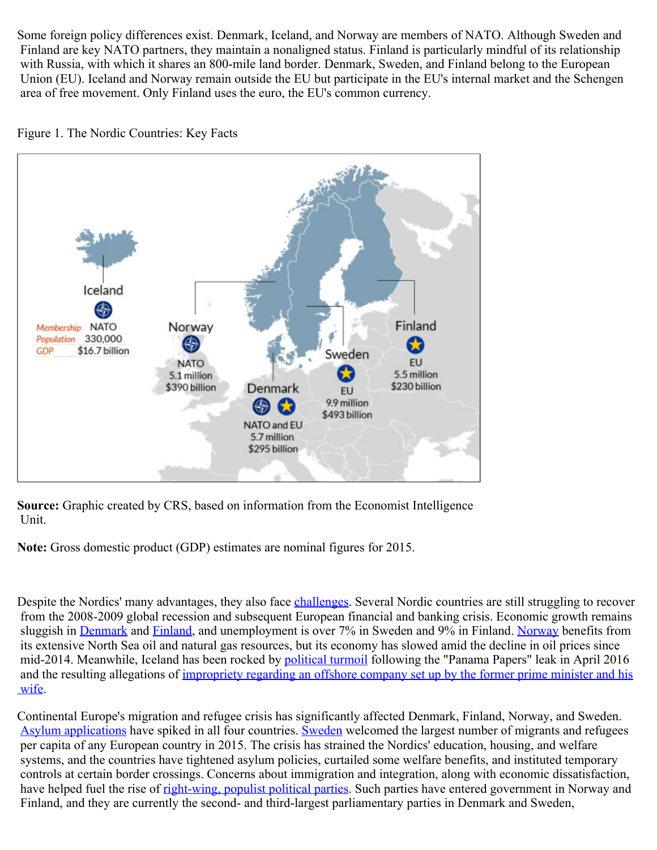Some foreign policy differences exist. Denmark, Iceland, and Norway are members of NATO. Although Sweden and Finland are key NATO partners, they maintain a nonaligned status. Finland is particularly mindful of its relationship with Russia, with which it shares an 800-mile land border. Denmark, Sweden, and Finland belong to the European Union (EU). Iceland and Norway remain outside the EU but participate in the EU's internal market and the Schengen area of free movement. Only Finland uses the euro, the EU's common currency.



Figure 1. The Nordic Countries: Key Facts

**Source:** Graphic created by CRS, based on information from the Economist Intelligence Unit.

**Note:** Gross domestic product (GDP) estimates are nominal figures for 2015.

Despite the Nordics' many advantages, they also face [challenges](https://www.washingtonpost.com/opinions/stop-the-scandimania-nordic-nations-arent-the-utopias-theyre-made-out-to-be/2015/01/16/8f818408-9aa0-11e4-a7ee-526210d665b4_story.html). Several Nordic countries are still struggling to recover from the 2008-2009 global recession and subsequent European financial and banking crisis. Economic growth remains sluggish in [Denmark](http://www.nytimes.com/2015/10/19/opinion/something-not-rotten-in-denmark.html?_r=0) and [Finland,](http://www.wsj.com/articles/finlands-problem-isnt-the-euro-1448490636) and unemployment is over 7% in Sweden and 9% in Finland. [Norway](http://www.bloomberg.com/news/articles/2016-01-14/norway-government-rules-out-extra-stimulus-as-oil-rout-persists) benefits from its extensive North Sea oil and natural gas resources, but its economy has slowed amid the decline in oil prices since mid-2014. Meanwhile, Iceland has been rocked by [political turmoil](http://www.dw.com/en/huge-anti-government-rally-in-iceland-amid-panama-papers-scandal/a-19175680) following the "Panama Papers" leak in April 2016 and the resulting allegations of [impropriety regarding an offshore company set up by the former prime minister and his](http://www.bbc.com/news/world-europe-35966412)  [wife](http://www.bbc.com/news/world-europe-35966412).

Continental Europe's migration and refugee crisis has significantly affected Denmark, Finland, Norway, and Sweden. [Asylum applications](http://ec.europa.eu/eurostat/statistics-explained/index.php/Asylum_statistics) have spiked in all four countries. [Sweden](http://foreignpolicy.com/2016/02/10/the-death-of-the-most-generous-nation-on-earth-sweden-syria-refugee-europe/) welcomed the largest number of migrants and refugees per capita of any European country in 2015. The crisis has strained the Nordics' education, housing, and welfare systems, and the countries have tightened asylum policies, curtailed some welfare benefits, and instituted temporary controls at certain border crossings. Concerns about immigration and integration, along with economic dissatisfaction, have helped fuel the rise of [right-wing, populist political parties.](http://www.theguardian.com/news/datablog/2015/jun/19/rightwing-anti-immigration-parties-nordic-countries-denmark-sweden-finland-norway) Such parties have entered government in Norway and Finland, and they are currently the second- and third-largest parliamentary parties in Denmark and Sweden,